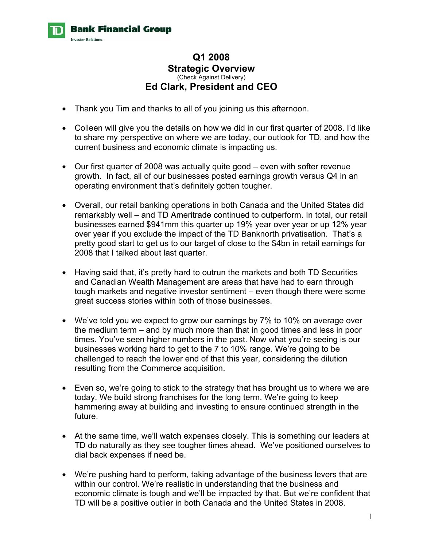

## **Q1 2008 Strategic Overview**  (Check Against Delivery) **Ed Clark, President and CEO**

- Thank you Tim and thanks to all of you joining us this afternoon.
- Colleen will give you the details on how we did in our first quarter of 2008. I'd like to share my perspective on where we are today, our outlook for TD, and how the current business and economic climate is impacting us.
- Our first quarter of 2008 was actually quite good even with softer revenue growth. In fact, all of our businesses posted earnings growth versus Q4 in an operating environment that's definitely gotten tougher.
- Overall, our retail banking operations in both Canada and the United States did remarkably well – and TD Ameritrade continued to outperform. In total, our retail businesses earned \$941mm this quarter up 19% year over year or up 12% year over year if you exclude the impact of the TD Banknorth privatisation. That's a pretty good start to get us to our target of close to the \$4bn in retail earnings for 2008 that I talked about last quarter.
- Having said that, it's pretty hard to outrun the markets and both TD Securities and Canadian Wealth Management are areas that have had to earn through tough markets and negative investor sentiment – even though there were some great success stories within both of those businesses.
- We've told you we expect to grow our earnings by 7% to 10% on average over the medium term – and by much more than that in good times and less in poor times. You've seen higher numbers in the past. Now what you're seeing is our businesses working hard to get to the 7 to 10% range. We're going to be challenged to reach the lower end of that this year, considering the dilution resulting from the Commerce acquisition.
- Even so, we're going to stick to the strategy that has brought us to where we are today. We build strong franchises for the long term. We're going to keep hammering away at building and investing to ensure continued strength in the future.
- At the same time, we'll watch expenses closely. This is something our leaders at TD do naturally as they see tougher times ahead. We've positioned ourselves to dial back expenses if need be.
- We're pushing hard to perform, taking advantage of the business levers that are within our control. We're realistic in understanding that the business and economic climate is tough and we'll be impacted by that. But we're confident that TD will be a positive outlier in both Canada and the United States in 2008.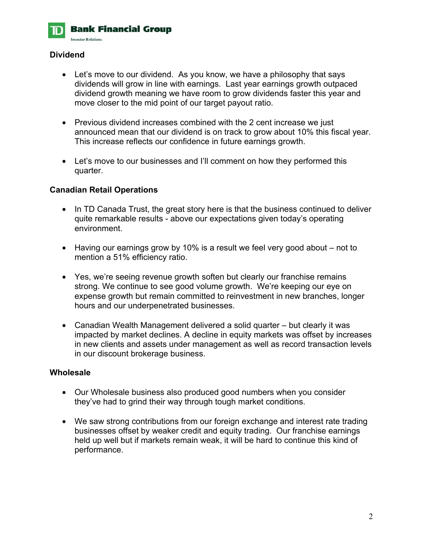

### **Dividend**

- Let's move to our dividend. As you know, we have a philosophy that says dividends will grow in line with earnings. Last year earnings growth outpaced dividend growth meaning we have room to grow dividends faster this year and move closer to the mid point of our target payout ratio.
- Previous dividend increases combined with the 2 cent increase we just announced mean that our dividend is on track to grow about 10% this fiscal year. This increase reflects our confidence in future earnings growth.
- Let's move to our businesses and I'll comment on how they performed this quarter.

#### **Canadian Retail Operations**

- In TD Canada Trust, the great story here is that the business continued to deliver quite remarkable results - above our expectations given today's operating environment.
- Having our earnings grow by 10% is a result we feel very good about not to mention a 51% efficiency ratio.
- Yes, we're seeing revenue growth soften but clearly our franchise remains strong. We continue to see good volume growth. We're keeping our eye on expense growth but remain committed to reinvestment in new branches, longer hours and our underpenetrated businesses.
- Canadian Wealth Management delivered a solid quarter but clearly it was impacted by market declines. A decline in equity markets was offset by increases in new clients and assets under management as well as record transaction levels in our discount brokerage business.

#### **Wholesale**

- Our Wholesale business also produced good numbers when you consider they've had to grind their way through tough market conditions.
- We saw strong contributions from our foreign exchange and interest rate trading businesses offset by weaker credit and equity trading. Our franchise earnings held up well but if markets remain weak, it will be hard to continue this kind of performance.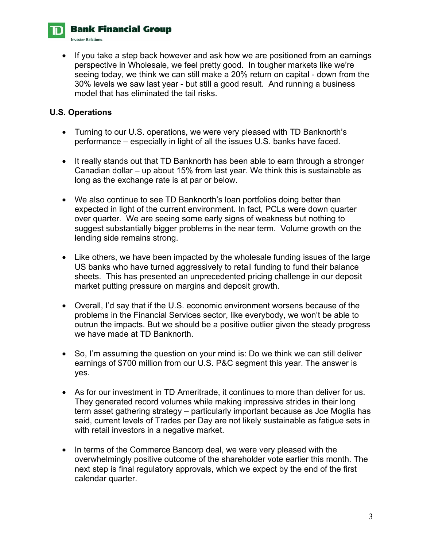

**Investor Relations** 

• If you take a step back however and ask how we are positioned from an earnings perspective in Wholesale, we feel pretty good. In tougher markets like we're seeing today, we think we can still make a 20% return on capital - down from the 30% levels we saw last year - but still a good result. And running a business model that has eliminated the tail risks.

#### **U.S. Operations**

- Turning to our U.S. operations, we were very pleased with TD Banknorth's performance – especially in light of all the issues U.S. banks have faced.
- It really stands out that TD Banknorth has been able to earn through a stronger Canadian dollar – up about 15% from last year. We think this is sustainable as long as the exchange rate is at par or below.
- We also continue to see TD Banknorth's loan portfolios doing better than expected in light of the current environment. In fact, PCLs were down quarter over quarter. We are seeing some early signs of weakness but nothing to suggest substantially bigger problems in the near term. Volume growth on the lending side remains strong.
- Like others, we have been impacted by the wholesale funding issues of the large US banks who have turned aggressively to retail funding to fund their balance sheets. This has presented an unprecedented pricing challenge in our deposit market putting pressure on margins and deposit growth.
- Overall, I'd say that if the U.S. economic environment worsens because of the problems in the Financial Services sector, like everybody, we won't be able to outrun the impacts. But we should be a positive outlier given the steady progress we have made at TD Banknorth.
- So, I'm assuming the question on your mind is: Do we think we can still deliver earnings of \$700 million from our U.S. P&C segment this year. The answer is yes.
- As for our investment in TD Ameritrade, it continues to more than deliver for us. They generated record volumes while making impressive strides in their long term asset gathering strategy – particularly important because as Joe Moglia has said, current levels of Trades per Day are not likely sustainable as fatigue sets in with retail investors in a negative market.
- In terms of the Commerce Bancorp deal, we were very pleased with the overwhelmingly positive outcome of the shareholder vote earlier this month. The next step is final regulatory approvals, which we expect by the end of the first calendar quarter.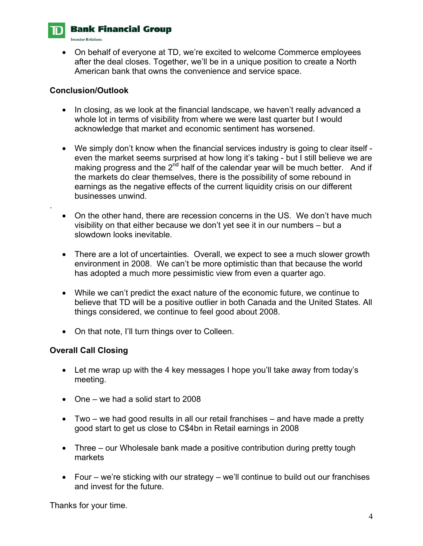

.

# **Bank Financial Group**

**Investor Relations**.

• On behalf of everyone at TD, we're excited to welcome Commerce employees after the deal closes. Together, we'll be in a unique position to create a North American bank that owns the convenience and service space.

### **Conclusion/Outlook**

- In closing, as we look at the financial landscape, we haven't really advanced a whole lot in terms of visibility from where we were last quarter but I would acknowledge that market and economic sentiment has worsened.
- We simply don't know when the financial services industry is going to clear itself even the market seems surprised at how long it's taking - but I still believe we are making progress and the  $2<sup>nd</sup>$  half of the calendar year will be much better. And if the markets do clear themselves, there is the possibility of some rebound in earnings as the negative effects of the current liquidity crisis on our different businesses unwind.
- On the other hand, there are recession concerns in the US. We don't have much visibility on that either because we don't yet see it in our numbers – but a slowdown looks inevitable.
- There are a lot of uncertainties. Overall, we expect to see a much slower growth environment in 2008. We can't be more optimistic than that because the world has adopted a much more pessimistic view from even a quarter ago.
- While we can't predict the exact nature of the economic future, we continue to believe that TD will be a positive outlier in both Canada and the United States. All things considered, we continue to feel good about 2008.
- On that note, I'll turn things over to Colleen.

### **Overall Call Closing**

- Let me wrap up with the 4 key messages I hope you'll take away from today's meeting.
- One we had a solid start to 2008
- Two we had good results in all our retail franchises and have made a pretty good start to get us close to C\$4bn in Retail earnings in 2008
- Three our Wholesale bank made a positive contribution during pretty tough markets
- Four we're sticking with our strategy we'll continue to build out our franchises and invest for the future.

Thanks for your time.